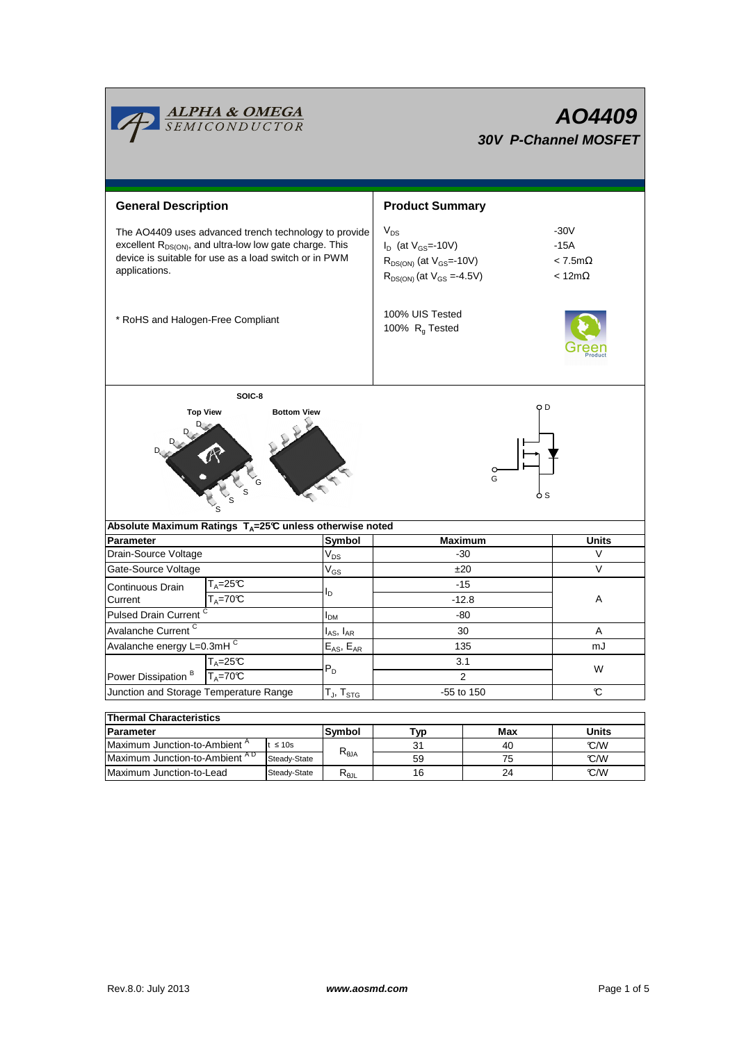

# **AO4409 30V P-Channel MOSFET**

| <b>General Description</b>                                                                                                                                                                      |                              |                     | <b>Product Summary</b>                                                                                           |                                                         |              |  |  |  |  |
|-------------------------------------------------------------------------------------------------------------------------------------------------------------------------------------------------|------------------------------|---------------------|------------------------------------------------------------------------------------------------------------------|---------------------------------------------------------|--------------|--|--|--|--|
| The AO4409 uses advanced trench technology to provide<br>excellent $R_{DS(ON)}$ , and ultra-low low gate charge. This<br>device is suitable for use as a load switch or in PWM<br>applications. |                              |                     | $V_{DS}$<br>$I_D$ (at $V_{GS}$ =-10V)<br>$R_{DS(ON)}$ (at $V_{GS}$ =-10V)<br>$R_{DS(ON)}$ (at $V_{GS} = -4.5V$ ) | $-30V$<br>$-15A$<br>$< 7.5$ m $\Omega$<br>$< 12m\Omega$ |              |  |  |  |  |
| * RoHS and Halogen-Free Compliant                                                                                                                                                               |                              |                     | 100% UIS Tested<br>100% R <sub>q</sub> Tested                                                                    |                                                         |              |  |  |  |  |
| SOIC-8                                                                                                                                                                                          |                              |                     |                                                                                                                  |                                                         |              |  |  |  |  |
| o D<br><b>Top View</b><br><b>Bottom View</b><br>O<br>G<br>Absolute Maximum Ratings T <sub>A</sub> =25℃ unless otherwise noted                                                                   |                              |                     |                                                                                                                  |                                                         |              |  |  |  |  |
| Parameter                                                                                                                                                                                       |                              |                     |                                                                                                                  |                                                         |              |  |  |  |  |
|                                                                                                                                                                                                 |                              | Symbol              | <b>Maximum</b>                                                                                                   |                                                         | <b>Units</b> |  |  |  |  |
| Drain-Source Voltage                                                                                                                                                                            | V <sub>DS</sub>              |                     | $-30$                                                                                                            |                                                         | $\vee$       |  |  |  |  |
| Gate-Source Voltage                                                                                                                                                                             | $V_{GS}$                     |                     | ±20                                                                                                              |                                                         | V            |  |  |  |  |
| $T_A = 25C$<br>Continuous Drain<br>$T_A = 70^\circ C$<br>Current                                                                                                                                | I <sub>D</sub>               |                     | $-15$<br>$-12.8$                                                                                                 |                                                         | A            |  |  |  |  |
| Pulsed Drain Current <sup>C</sup>                                                                                                                                                               | I <sub>DM</sub>              |                     | -80                                                                                                              |                                                         |              |  |  |  |  |
| Avalanche Current <sup>C</sup>                                                                                                                                                                  |                              | $I_{AS}$ , $I_{AR}$ | 30                                                                                                               |                                                         | A            |  |  |  |  |
| Avalanche energy L=0.3mH C                                                                                                                                                                      |                              | $E_{AS}$ , $E_{AR}$ | 135                                                                                                              |                                                         | mJ           |  |  |  |  |
| $T_A = 25C$<br>Power Dissipation <sup>B</sup><br>$T_A = 70C$                                                                                                                                    | $P_D$                        |                     | 3.1<br>$\overline{2}$                                                                                            |                                                         | W            |  |  |  |  |
| Junction and Storage Temperature Range                                                                                                                                                          |                              | $T_J$ , $T_{STG}$   | $-55$ to 150                                                                                                     |                                                         | C            |  |  |  |  |
|                                                                                                                                                                                                 |                              |                     |                                                                                                                  |                                                         |              |  |  |  |  |
| <b>Thermal Characteristics</b>                                                                                                                                                                  |                              |                     |                                                                                                                  |                                                         |              |  |  |  |  |
| <b>Parameter</b>                                                                                                                                                                                |                              | Symbol              | <b>Typ</b>                                                                                                       | Max                                                     | <b>Units</b> |  |  |  |  |
| Maximum Junction-to-Ambient <sup>A</sup><br>Maximum Junction-to-Ambient AD                                                                                                                      | $t \leq 10s$<br>Steady-State | $R_{0,IA}$          | 31<br>59                                                                                                         | 40<br>75                                                | C/W<br>°C/W  |  |  |  |  |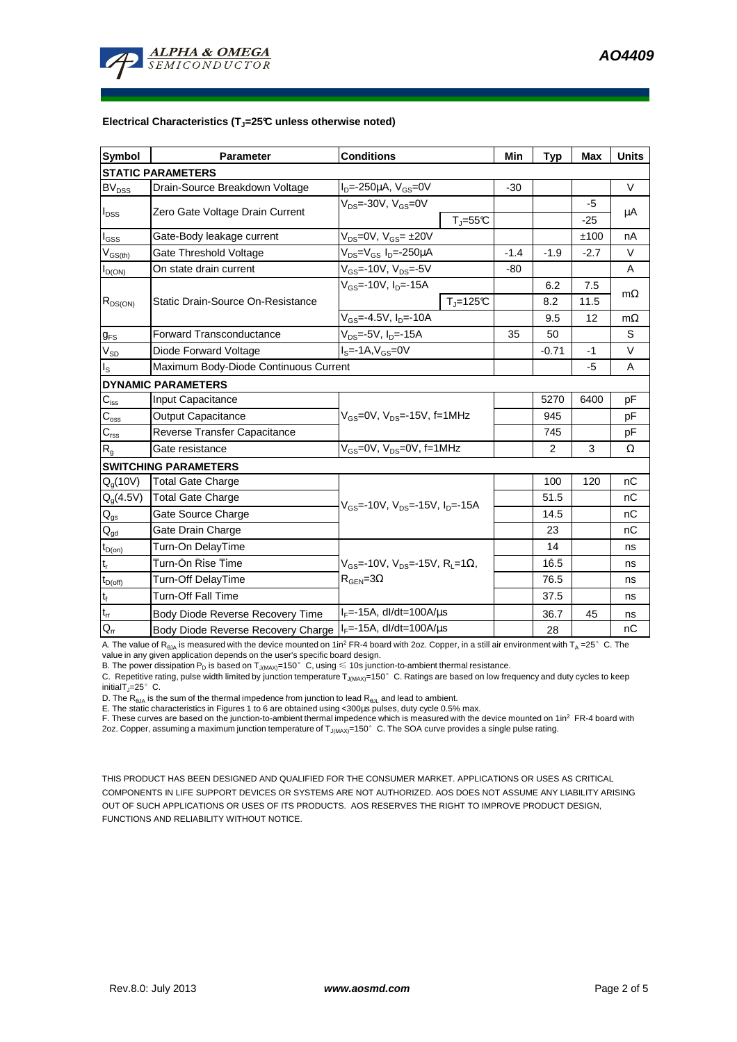

#### **Electrical Characteristics (TJ=25°C unless otherwise noted)**

| <b>Symbol</b>                           | Parameter                             | <b>Conditions</b>                                                                          |                          | Min    | <b>Typ</b>     | Max    | <b>Units</b> |  |  |  |  |
|-----------------------------------------|---------------------------------------|--------------------------------------------------------------------------------------------|--------------------------|--------|----------------|--------|--------------|--|--|--|--|
| <b>STATIC PARAMETERS</b>                |                                       |                                                                                            |                          |        |                |        |              |  |  |  |  |
| <b>BV<sub>DSS</sub></b>                 | Drain-Source Breakdown Voltage        | $I_{D} = -250 \mu A$ , $V_{GS} = 0V$                                                       |                          |        |                |        | $\vee$       |  |  |  |  |
| $I_{DSS}$                               | Zero Gate Voltage Drain Current       | $V_{DS}$ =-30V, $V_{GS}$ =0V                                                               |                          |        |                | -5     |              |  |  |  |  |
|                                         |                                       |                                                                                            | $T = 55C$                |        |                | $-25$  | μA           |  |  |  |  |
| $I_{GS}$                                | Gate-Body leakage current             | $V_{DS} = 0V$ , $V_{GS} = \pm 20V$                                                         |                          |        |                | ±100   | nA           |  |  |  |  |
| $\mathsf{V}_{\mathsf{GS}(\mathsf{th})}$ | Gate Threshold Voltage                | $V_{DS} = V_{GS} I_D = -250 \mu A$                                                         |                          | $-1.4$ | $-1.9$         | $-2.7$ | $\vee$       |  |  |  |  |
| $I_{D(ON)}$                             | On state drain current                | V <sub>GS</sub> =-10V, V <sub>DS</sub> =-5V                                                |                          | $-80$  |                |        | A            |  |  |  |  |
| $R_{DS(ON)}$                            | Static Drain-Source On-Resistance     | $V_{GS}$ =-10V, I <sub>D</sub> =-15A                                                       |                          |        | 6.2            | 7.5    | $m\Omega$    |  |  |  |  |
|                                         |                                       |                                                                                            | $T_{\parallel} = 125$ °C |        | 8.2            | 11.5   |              |  |  |  |  |
|                                         |                                       | $V_{GS} = -4.5V$ , $I_D = -10A$                                                            |                          |        | 9.5            | 12     | $m\Omega$    |  |  |  |  |
| $g_{FS}$                                | <b>Forward Transconductance</b>       | $V_{DS}$ =-5V, I <sub>D</sub> =-15A                                                        |                          | 35     | 50             |        | S            |  |  |  |  |
| $V_{SD}$                                | Diode Forward Voltage                 | $IS=-1A, VGS=0V$                                                                           |                          |        | $-0.71$        | $-1$   | $\vee$       |  |  |  |  |
| $I_{\rm S}$                             | Maximum Body-Diode Continuous Current |                                                                                            |                          |        |                | $-5$   | A            |  |  |  |  |
|                                         | <b>DYNAMIC PARAMETERS</b>             |                                                                                            |                          |        |                |        |              |  |  |  |  |
| $C_{iss}$                               | <b>Input Capacitance</b>              | $V_{GS}$ =0V, $V_{DS}$ =-15V, f=1MHz                                                       |                          |        | 5270           | 6400   | pF           |  |  |  |  |
| $C_{\rm oss}$                           | <b>Output Capacitance</b>             |                                                                                            |                          |        | 945            |        | рF           |  |  |  |  |
| $C_{\rm rss}$                           | Reverse Transfer Capacitance          |                                                                                            |                          |        | 745            |        | pF           |  |  |  |  |
| R <sub>g</sub>                          | Gate resistance                       | $V_{GS}$ =0V, $V_{DS}$ =0V, f=1MHz                                                         |                          |        | $\overline{2}$ | 3      | Ω            |  |  |  |  |
|                                         | <b>SWITCHING PARAMETERS</b>           |                                                                                            |                          |        |                |        |              |  |  |  |  |
| $Q_q(10V)$                              | <b>Total Gate Charge</b>              | $V_{GS}$ =-10V, $V_{DS}$ =-15V, $I_{D}$ =-15A                                              |                          |        | 100            | 120    | nC           |  |  |  |  |
| $Q_q(4.5V)$                             | <b>Total Gate Charge</b>              |                                                                                            |                          |        | 51.5           |        | nC           |  |  |  |  |
| $\mathbf{Q}_\mathrm{gs}$                | Gate Source Charge                    |                                                                                            |                          |        | 14.5           |        | nC           |  |  |  |  |
| $\mathsf{Q}_{\text{gd}}$                | Gate Drain Charge                     |                                                                                            |                          |        | 23             |        | nC           |  |  |  |  |
| $t_{D(on)}$                             | Turn-On DelayTime                     |                                                                                            |                          |        | 14             |        | ns           |  |  |  |  |
| $t_r$                                   | Turn-On Rise Time                     | $V_{GS}$ =-10V, $V_{DS}$ =-15V, R <sub>L</sub> =1 $\Omega$ ,<br>$R_{\text{GEN}} = 3\Omega$ |                          |        | 16.5           |        | ns           |  |  |  |  |
| $t_{D(\text{off})}$                     | Turn-Off DelayTime                    |                                                                                            |                          |        | 76.5           |        | ns           |  |  |  |  |
| $\mathbf{t}_\text{f}$                   | <b>Turn-Off Fall Time</b>             |                                                                                            |                          |        | 37.5           |        | ns           |  |  |  |  |
| $\mathfrak{t}_{\mathfrak{m}}$           | Body Diode Reverse Recovery Time      | $I_F$ =-15A, dl/dt=100A/ $\mu$ s                                                           |                          |        | 36.7           | 45     | ns           |  |  |  |  |
| $Q_{rr}$                                | Body Diode Reverse Recovery Charge    | $I_F$ =-15A, dl/dt=100A/ $\mu$ s                                                           |                          |        | 28             |        | nC           |  |  |  |  |

A. The value of R<sub>BJA</sub> is measured with the device mounted on 1in<sup>2</sup> FR-4 board with 2oz. Copper, in a still air environment with T<sub>A</sub> =25°C. The

value in any given application depends on the user's specific board design.<br>B. The power dissipation P<sub>D</sub> is based on T<sub>J(MAX)</sub>=150°C, using ≤ 10s junction-to-ambient thermal resistance.

C. Repetitive rating, pulse width limited by junction temperature  $T_{J(MAX)}$ =150°C. Ratings are based on low frequency and duty cycles to keep initialT $_{1}=25^{\circ}$  C.

D. The  $R_{\theta JA}$  is the sum of the thermal impedence from junction to lead  $R_{\theta JL}$  and lead to ambient.

E. The static characteristics in Figures 1 to 6 are obtained using <300us pulses, duty cycle 0.5% max.

F. These curves are based on the junction-to-ambient thermal impedence which is measured with the device mounted on 1in<sup>2</sup> FR-4 board with 2oz. Copper, assuming a maximum junction temperature of  $T_{J(MAX)}$ =150°C. The SOA curve provides a single pulse rating.

THIS PRODUCT HAS BEEN DESIGNED AND QUALIFIED FOR THE CONSUMER MARKET. APPLICATIONS OR USES AS CRITICAL COMPONENTS IN LIFE SUPPORT DEVICES OR SYSTEMS ARE NOT AUTHORIZED. AOS DOES NOT ASSUME ANY LIABILITY ARISING OUT OF SUCH APPLICATIONS OR USES OF ITS PRODUCTS. AOS RESERVES THE RIGHT TO IMPROVE PRODUCT DESIGN, FUNCTIONS AND RELIABILITY WITHOUT NOTICE.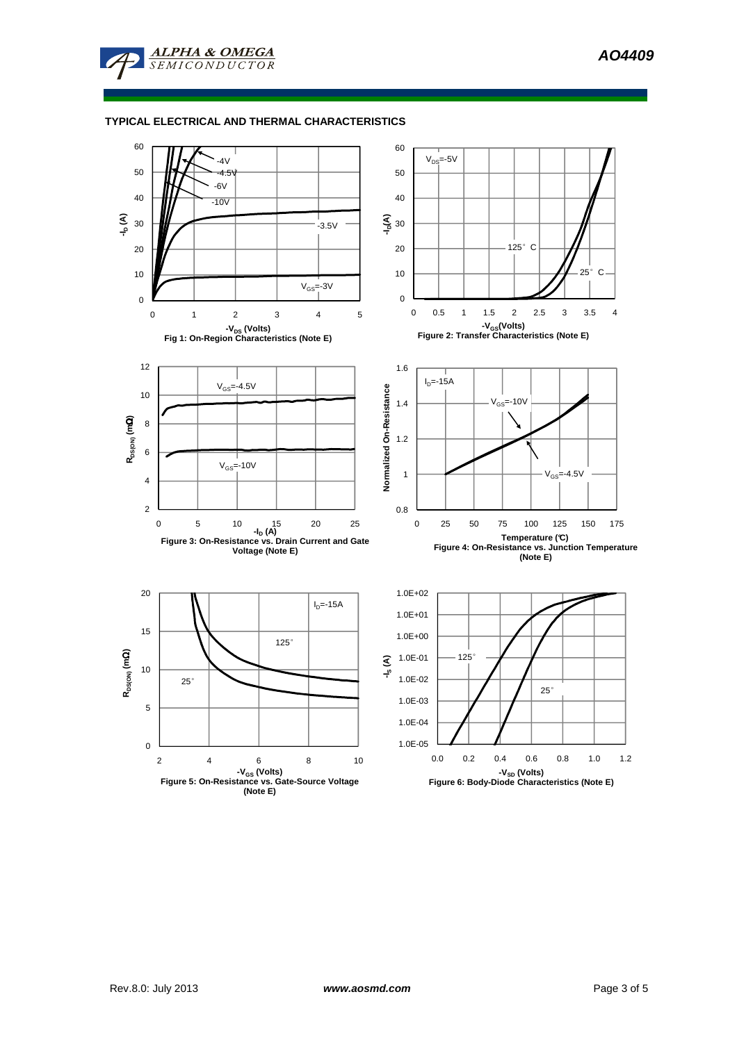

**ALPHA & OMEGA** 

### **TYPICAL ELECTRICAL AND THERMAL CHARACTERISTICS**

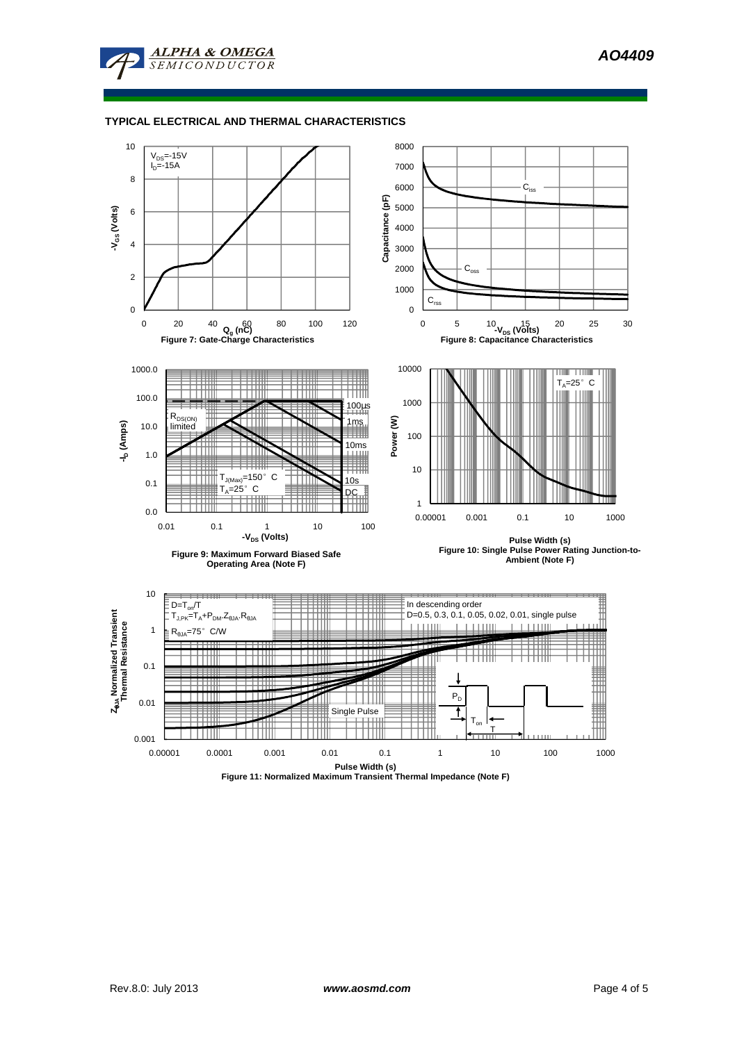**AO4409** 



### **TYPICAL ELECTRICAL AND THERMAL CHARACTERISTICS**